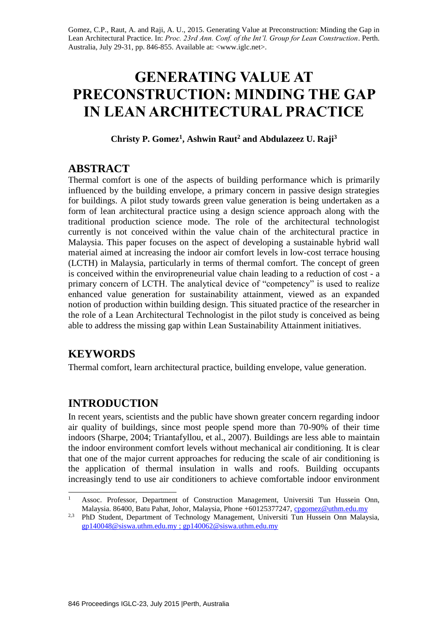Gomez, C.P., Raut, A. and Raji, A. U., 2015. Generating Value at Preconstruction: Minding the Gap in Lean Architectural Practice. In: *Proc. 23rd Ann. Conf. of the Int'l. Group for Lean Construction*. Perth. Australia, July 29-31, pp. 846-855. Available at: <www.iglc.net>.

# **GENERATING VALUE AT PRECONSTRUCTION: MINDING THE GAP IN LEAN ARCHITECTURAL PRACTICE**

**Christy P. Gomez<sup>1</sup> , Ashwin Raut<sup>2</sup> and Abdulazeez U. Raji<sup>3</sup>**

### **ABSTRACT**

Thermal comfort is one of the aspects of building performance which is primarily influenced by the building envelope, a primary concern in passive design strategies for buildings. A pilot study towards green value generation is being undertaken as a form of lean architectural practice using a design science approach along with the traditional production science mode. The role of the architectural technologist currently is not conceived within the value chain of the architectural practice in Malaysia. This paper focuses on the aspect of developing a sustainable hybrid wall material aimed at increasing the indoor air comfort levels in low-cost terrace housing (LCTH) in Malaysia, particularly in terms of thermal comfort. The concept of green is conceived within the enviropreneurial value chain leading to a reduction of cost - a primary concern of LCTH. The analytical device of "competency" is used to realize enhanced value generation for sustainability attainment, viewed as an expanded notion of production within building design. This situated practice of the researcher in the role of a Lean Architectural Technologist in the pilot study is conceived as being able to address the missing gap within Lean Sustainability Attainment initiatives.

# **KEYWORDS**

1

Thermal comfort, learn architectural practice, building envelope, value generation.

# **INTRODUCTION**

In recent years, scientists and the public have shown greater concern regarding indoor air quality of buildings, since most people spend more than 70-90% of their time indoors (Sharpe, 2004; Triantafyllou, et al., 2007). Buildings are less able to maintain the indoor environment comfort levels without mechanical air conditioning. It is clear that one of the major current approaches for reducing the scale of air conditioning is the application of thermal insulation in walls and roofs. Building occupants increasingly tend to use air conditioners to achieve comfortable indoor environment

<sup>&</sup>lt;sup>1</sup> Assoc. Professor, Department of Construction Management, Universiti Tun Hussein Onn, Malaysia. 86400, Batu Pahat, Johor, Malaysia, Phone +60125377247, [cpgomez@uthm.edu.my](mailto:cpgomez@uthm.edu.my)

<sup>&</sup>lt;sup>2,3</sup> PhD Student, Department of Technology Management, Universiti Tun Hussein Onn Malaysia, [gp140048@siswa.uthm.edu.my](mailto:gp140048@siswa.uthm.edu.my) ; [gp140062@siswa.uthm.edu.my](mailto:gp140062@siswa.uthm.edu.my)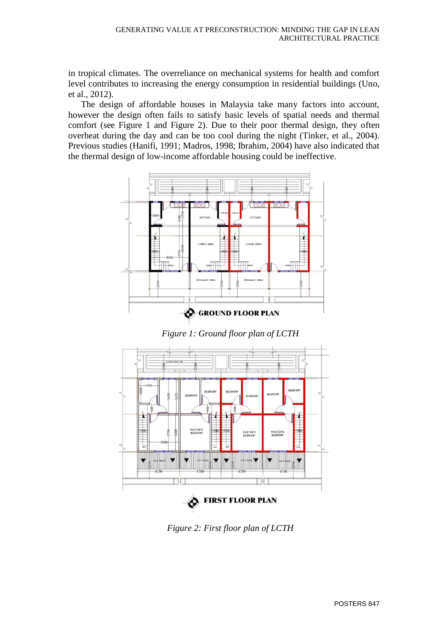in tropical climates. The overreliance on mechanical systems for health and comfort level contributes to increasing the energy consumption in residential buildings (Uno, et al., 2012).

The design of affordable houses in Malaysia take many factors into account, however the design often fails to satisfy basic levels of spatial needs and thermal comfort (see Figure 1 and Figure 2). Due to their poor thermal design, they often overheat during the day and can be too cool during the night (Tinker, et al., 2004). Previous studies (Hanifi, 1991; Madros, 1998; Ibrahim, 2004) have also indicated that the thermal design of low-income affordable housing could be ineffective.



*Figure 1: Ground floor plan of LCTH*



*Figure 2: First floor plan of LCTH*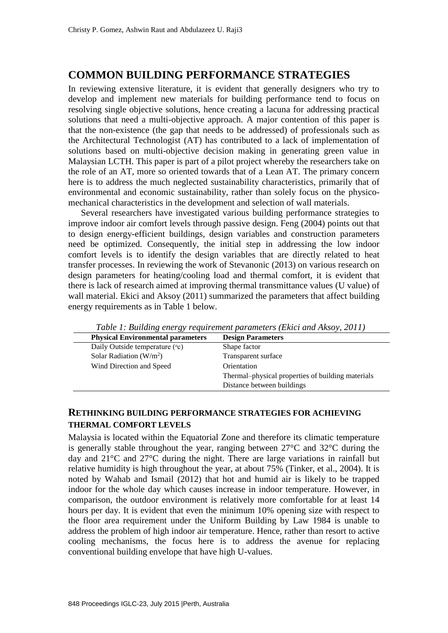### **COMMON BUILDING PERFORMANCE STRATEGIES**

In reviewing extensive literature, it is evident that generally designers who try to develop and implement new materials for building performance tend to focus on resolving single objective solutions, hence creating a lacuna for addressing practical solutions that need a multi-objective approach. A major contention of this paper is that the non-existence (the gap that needs to be addressed) of professionals such as the Architectural Technologist (AT) has contributed to a lack of implementation of solutions based on multi-objective decision making in generating green value in Malaysian LCTH. This paper is part of a pilot project whereby the researchers take on the role of an AT, more so oriented towards that of a Lean AT. The primary concern here is to address the much neglected sustainability characteristics, primarily that of environmental and economic sustainability, rather than solely focus on the physicomechanical characteristics in the development and selection of wall materials.

Several researchers have investigated various building performance strategies to improve indoor air comfort levels through passive design. Feng (2004) points out that to design energy-efficient buildings, design variables and construction parameters need be optimized. Consequently, the initial step in addressing the low indoor comfort levels is to identify the design variables that are directly related to heat transfer processes. In reviewing the work of Stevanonic (2013) on various research on design parameters for heating/cooling load and thermal comfort, it is evident that there is lack of research aimed at improving thermal transmittance values (U value) of wall material. Ekici and Aksoy (2011) summarized the parameters that affect building energy requirements as in Table 1 below.

| <b>Physical Environmental parameters</b> | <b>Design Parameters</b>                          |
|------------------------------------------|---------------------------------------------------|
| Daily Outside temperature (°c)           | Shape factor                                      |
| Solar Radiation $(W/m^2)$                | Transparent surface                               |
| Wind Direction and Speed                 | Orientation                                       |
|                                          | Thermal-physical properties of building materials |
|                                          | Distance between buildings                        |

*Table 1: Building energy requirement parameters (Ekici and Aksoy, 2011)*

#### **RETHINKING BUILDING PERFORMANCE STRATEGIES FOR ACHIEVING THERMAL COMFORT LEVELS**

Malaysia is located within the Equatorial Zone and therefore its climatic temperature is generally stable throughout the year, ranging between 27°C and 32°C during the day and 21°C and 27°C during the night. There are large variations in rainfall but relative humidity is high throughout the year, at about 75% (Tinker, et al., 2004). It is noted by Wahab and Ismail (2012) that hot and humid air is likely to be trapped indoor for the whole day which causes increase in indoor temperature. However, in comparison, the outdoor environment is relatively more comfortable for at least 14 hours per day. It is evident that even the minimum 10% opening size with respect to the floor area requirement under the Uniform Building by Law 1984 is unable to address the problem of high indoor air temperature. Hence, rather than resort to active cooling mechanisms, the focus here is to address the avenue for replacing conventional building envelope that have high U-values.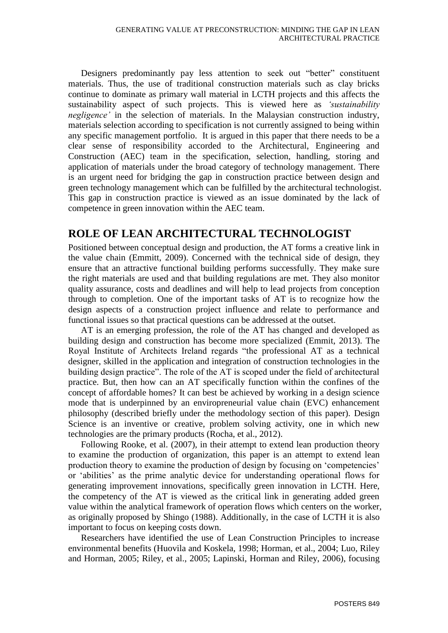Designers predominantly pay less attention to seek out "better" constituent materials. Thus, the use of traditional construction materials such as clay bricks continue to dominate as primary wall material in LCTH projects and this affects the sustainability aspect of such projects. This is viewed here as *'sustainability negligence'* in the selection of materials. In the Malaysian construction industry, materials selection according to specification is not currently assigned to being within any specific management portfolio. It is argued in this paper that there needs to be a clear sense of responsibility accorded to the Architectural, Engineering and Construction (AEC) team in the specification, selection, handling, storing and application of materials under the broad category of technology management. There is an urgent need for bridging the gap in construction practice between design and green technology management which can be fulfilled by the architectural technologist. This gap in construction practice is viewed as an issue dominated by the lack of competence in green innovation within the AEC team.

# **ROLE OF LEAN ARCHITECTURAL TECHNOLOGIST**

Positioned between conceptual design and production, the AT forms a creative link in the value chain (Emmitt, 2009). Concerned with the technical side of design, they ensure that an attractive functional building performs successfully. They make sure the right materials are used and that building regulations are met. They also monitor quality assurance, costs and deadlines and will help to lead projects from conception through to completion. One of the important tasks of AT is to recognize how the design aspects of a construction project influence and relate to performance and functional issues so that practical questions can be addressed at the outset.

AT is an emerging profession, the role of the AT has changed and developed as building design and construction has become more specialized (Emmit, 2013). The Royal Institute of Architects Ireland regards "the professional AT as a technical designer, skilled in the application and integration of construction technologies in the building design practice". The role of the AT is scoped under the field of architectural practice. But, then how can an AT specifically function within the confines of the concept of affordable homes? It can best be achieved by working in a design science mode that is underpinned by an enviropreneurial value chain (EVC) enhancement philosophy (described briefly under the methodology section of this paper). Design Science is an inventive or creative, problem solving activity, one in which new technologies are the primary products (Rocha, et al., 2012).

Following Rooke, et al. (2007), in their attempt to extend lean production theory to examine the production of organization, this paper is an attempt to extend lean production theory to examine the production of design by focusing on 'competencies' or 'abilities' as the prime analytic device for understanding operational flows for generating improvement innovations, specifically green innovation in LCTH. Here, the competency of the AT is viewed as the critical link in generating added green value within the analytical framework of operation flows which centers on the worker, as originally proposed by Shingo (1988). Additionally, in the case of LCTH it is also important to focus on keeping costs down.

Researchers have identified the use of Lean Construction Principles to increase environmental benefits (Huovila and Koskela, 1998; Horman, et al., 2004; Luo, Riley and Horman, 2005; Riley, et al., 2005; Lapinski, Horman and Riley, 2006), focusing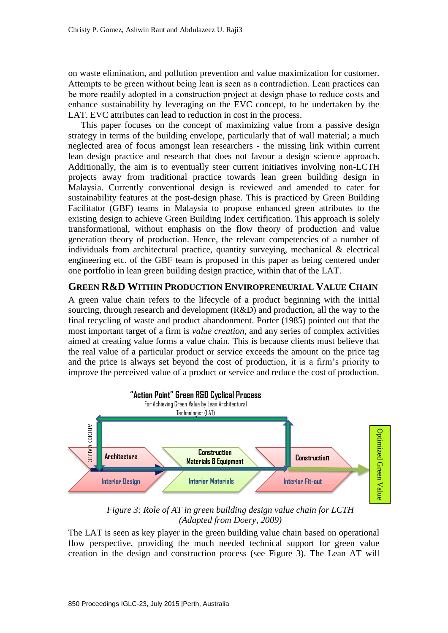on waste elimination, and pollution prevention and value maximization for customer. Attempts to be green without being lean is seen as a contradiction. Lean practices can be more readily adopted in a construction project at design phase to reduce costs and enhance sustainability by leveraging on the EVC concept, to be undertaken by the LAT. EVC attributes can lead to reduction in cost in the process.

This paper focuses on the concept of maximizing value from a passive design strategy in terms of the building envelope, particularly that of wall material; a much neglected area of focus amongst lean researchers - the missing link within current lean design practice and research that does not favour a design science approach. Additionally, the aim is to eventually steer current initiatives involving non-LCTH projects away from traditional practice towards lean green building design in Malaysia. Currently conventional design is reviewed and amended to cater for sustainability features at the post-design phase. This is practiced by Green Building Facilitator (GBF) teams in Malaysia to propose enhanced green attributes to the existing design to achieve Green Building Index certification. This approach is solely transformational, without emphasis on the flow theory of production and value generation theory of production. Hence, the relevant competencies of a number of individuals from architectural practice, quantity surveying, mechanical & electrical engineering etc. of the GBF team is proposed in this paper as being centered under one portfolio in lean green building design practice, within that of the LAT.

#### **GREEN R&D WITHIN PRODUCTION ENVIROPRENEURIAL VALUE CHAIN**

A green value chain refers to the lifecycle of a product beginning with the initial sourcing, through research and development (R&D) and production, all the way to the final recycling of waste and product abandonment. Porter (1985) pointed out that the most important target of a firm is *value creation*, and any series of complex activities aimed at creating value forms a value chain. This is because clients must believe that the real value of a particular product or service exceeds the amount on the price tag and the price is always set beyond the cost of production, it is a firm's priority to improve the perceived value of a product or service and reduce the cost of production.



*Figure 3: Role of AT in green building design value chain for LCTH (Adapted from Doery, 2009)*

The LAT is seen as key player in the green building value chain based on operational flow perspective, providing the much needed technical support for green value creation in the design and construction process (see Figure 3). The Lean AT will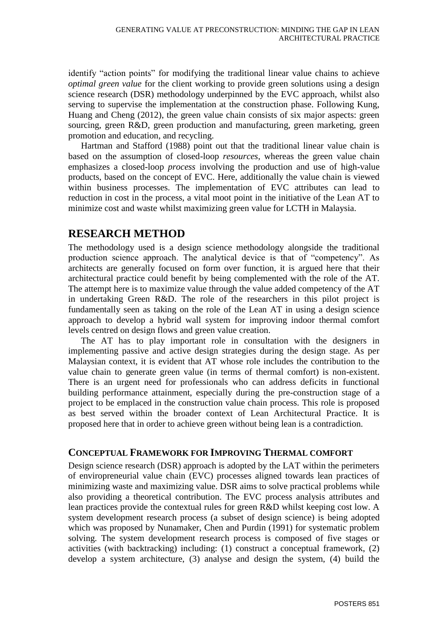identify "action points" for modifying the traditional linear value chains to achieve *optimal green value* for the client working to provide green solutions using a design science research (DSR) methodology underpinned by the EVC approach, whilst also serving to supervise the implementation at the construction phase. Following Kung, Huang and Cheng (2012), the green value chain consists of six major aspects: green sourcing, green R&D, green production and manufacturing, green marketing, green promotion and education, and recycling.

Hartman and Stafford (1988) point out that the traditional linear value chain is based on the assumption of closed-loop *resources*, whereas the green value chain emphasizes a closed-loop *process* involving the production and use of high-value products, based on the concept of EVC. Here, additionally the value chain is viewed within business processes. The implementation of EVC attributes can lead to reduction in cost in the process, a vital moot point in the initiative of the Lean AT to minimize cost and waste whilst maximizing green value for LCTH in Malaysia.

### **RESEARCH METHOD**

The methodology used is a design science methodology alongside the traditional production science approach. The analytical device is that of "competency". As architects are generally focused on form over function, it is argued here that their architectural practice could benefit by being complemented with the role of the AT. The attempt here is to maximize value through the value added competency of the AT in undertaking Green R&D. The role of the researchers in this pilot project is fundamentally seen as taking on the role of the Lean AT in using a design science approach to develop a hybrid wall system for improving indoor thermal comfort levels centred on design flows and green value creation.

The AT has to play important role in consultation with the designers in implementing passive and active design strategies during the design stage. As per Malaysian context, it is evident that AT whose role includes the contribution to the value chain to generate green value (in terms of thermal comfort) is non-existent. There is an urgent need for professionals who can address deficits in functional building performance attainment, especially during the pre-construction stage of a project to be emplaced in the construction value chain process. This role is proposed as best served within the broader context of Lean Architectural Practice. It is proposed here that in order to achieve green without being lean is a contradiction.

#### **CONCEPTUAL FRAMEWORK FOR IMPROVING THERMAL COMFORT**

Design science research (DSR) approach is adopted by the LAT within the perimeters of enviropreneurial value chain (EVC) processes aligned towards lean practices of minimizing waste and maximizing value. DSR aims to solve practical problems while also providing a theoretical contribution. The EVC process analysis attributes and lean practices provide the contextual rules for green R&D whilst keeping cost low. A system development research process (a subset of design science) is being adopted which was proposed by Nunamaker, Chen and Purdin (1991) for systematic problem solving. The system development research process is composed of five stages or activities (with backtracking) including: (1) construct a conceptual framework, (2) develop a system architecture, (3) analyse and design the system, (4) build the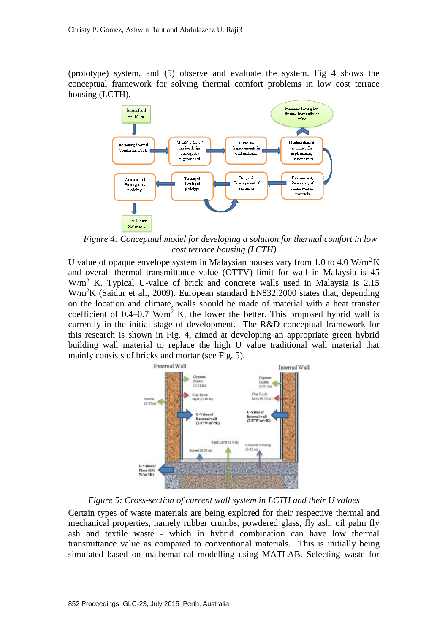(prototype) system, and (5) observe and evaluate the system. Fig 4 shows the conceptual framework for solving thermal comfort problems in low cost terrace housing (LCTH).



*Figure 4: Conceptual model for developing a solution for thermal comfort in low cost terrace housing (LCTH)*

U value of opaque envelope system in Malaysian houses vary from 1.0 to 4.0 W/m<sup>2</sup>K and overall thermal transmittance value (OTTV) limit for wall in Malaysia is 45  $W/m<sup>2</sup>$  K. Typical U-value of brick and concrete walls used in Malaysia is 2.15 W/m<sup>2</sup>K (Saidur et al., 2009). European standard EN832:2000 states that, depending on the location and climate, walls should be made of material with a heat transfer coefficient of 0.4–0.7 W/m<sup>2</sup> K, the lower the better. This proposed hybrid wall is currently in the initial stage of development. The R&D conceptual framework for this research is shown in Fig. 4, aimed at developing an appropriate green hybrid building wall material to replace the high U value traditional wall material that mainly consists of bricks and mortar (see Fig. 5).



*Figure 5: Cross-section of current wall system in LCTH and their U values*

Certain types of waste materials are being explored for their respective thermal and mechanical properties, namely rubber crumbs, powdered glass, fly ash, oil palm fly ash and textile waste - which in hybrid combination can have low thermal transmittance value as compared to conventional materials. This is initially being simulated based on mathematical modelling using MATLAB. Selecting waste for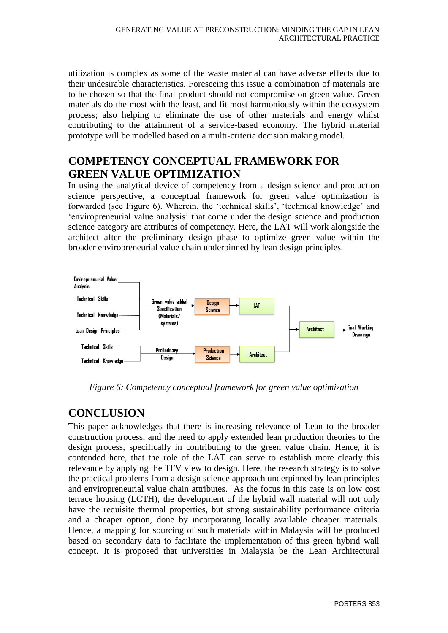utilization is complex as some of the waste material can have adverse effects due to their undesirable characteristics. Foreseeing this issue a combination of materials are to be chosen so that the final product should not compromise on green value. Green materials do the most with the least, and fit most harmoniously within the ecosystem process; also helping to eliminate the use of other materials and energy whilst contributing to the attainment of a service-based economy. The hybrid material prototype will be modelled based on a multi-criteria decision making model.

# **COMPETENCY CONCEPTUAL FRAMEWORK FOR GREEN VALUE OPTIMIZATION**

In using the analytical device of competency from a design science and production science perspective, a conceptual framework for green value optimization is forwarded (see Figure 6). Wherein, the 'technical skills', 'technical knowledge' and 'enviropreneurial value analysis' that come under the design science and production science category are attributes of competency. Here, the LAT will work alongside the architect after the preliminary design phase to optimize green value within the broader enviropreneurial value chain underpinned by lean design principles.



*Figure 6: Competency conceptual framework for green value optimization* 

# **CONCLUSION**

This paper acknowledges that there is increasing relevance of Lean to the broader construction process, and the need to apply extended lean production theories to the design process, specifically in contributing to the green value chain. Hence, it is contended here, that the role of the LAT can serve to establish more clearly this relevance by applying the TFV view to design. Here, the research strategy is to solve the practical problems from a design science approach underpinned by lean principles and enviropreneurial value chain attributes. As the focus in this case is on low cost terrace housing (LCTH), the development of the hybrid wall material will not only have the requisite thermal properties, but strong sustainability performance criteria and a cheaper option, done by incorporating locally available cheaper materials. Hence, a mapping for sourcing of such materials within Malaysia will be produced based on secondary data to facilitate the implementation of this green hybrid wall concept. It is proposed that universities in Malaysia be the Lean Architectural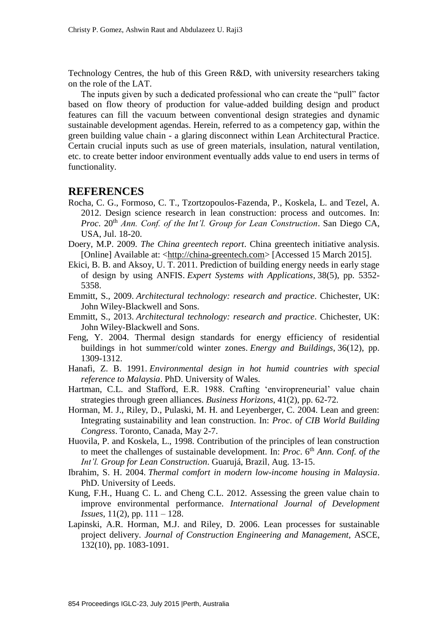Technology Centres, the hub of this Green R&D, with university researchers taking on the role of the LAT.

The inputs given by such a dedicated professional who can create the "pull" factor based on flow theory of production for value-added building design and product features can fill the vacuum between conventional design strategies and dynamic sustainable development agendas. Herein, referred to as a competency gap, within the green building value chain - a glaring disconnect within Lean Architectural Practice. Certain crucial inputs such as use of green materials, insulation, natural ventilation, etc. to create better indoor environment eventually adds value to end users in terms of functionality.

#### **REFERENCES**

- Rocha, C. G., Formoso, C. T., Tzortzopoulos-Fazenda, P., Koskela, L. and Tezel, A. 2012. Design science research in lean construction: process and outcomes. In: *Proc.* 20<sup>th</sup> *Ann. Conf. of the Int'l. Group for Lean Construction.* San Diego CA, USA, Jul. 18-20.
- Doery, M.P. 2009. *The China greentech report*. China greentech initiative analysis. [Online] Available at: [<http://china-greentech.com>](http://china-greentech.com/) [Accessed 15 March 2015].
- Ekici, B. B. and Aksoy, U. T. 2011. Prediction of building energy needs in early stage of design by using ANFIS. *Expert Systems with Applications*, 38(5), pp. 5352- 5358.
- Emmitt, S., 2009. *Architectural technology: research and practice*. Chichester, UK: John Wiley-Blackwell and Sons.
- Emmitt, S., 2013. *Architectural technology: research and practice*. Chichester, UK: John Wiley-Blackwell and Sons.
- Feng, Y. 2004. Thermal design standards for energy efficiency of residential buildings in hot summer/cold winter zones. *Energy and Buildings*, 36(12), pp. 1309-1312.
- Hanafi, Z. B. 1991. *Environmental design in hot humid countries with special reference to Malaysia*. PhD. University of Wales.
- Hartman, C.L. and Stafford, E.R. 1988. Crafting 'enviropreneurial' value chain strategies through green alliances. *Business Horizons*, 41(2), pp. 62-72.
- Horman, M. J., Riley, D., Pulaski, M. H. and Leyenberger, C. 2004. Lean and green: Integrating sustainability and lean construction. In: *Proc*. o*f CIB World Building Congress*. Toronto, Canada, May 2-7.
- Huovila, P. and Koskela, L., 1998. Contribution of the principles of lean construction to meet the challenges of sustainable development. In: *Proc.* 6<sup>th</sup> *Ann. Conf. of the Int'l. Group for Lean Construction*. Guarujá, Brazil, Aug. 13-15.
- Ibrahim, S. H. 2004. *Thermal comfort in modern low-income housing in Malaysia*. PhD. University of Leeds.
- Kung, F.H., Huang C. L. and Cheng C.L. 2012. Assessing the green value chain to improve environmental performance. *International Journal of Development Issues*, 11(2), pp. 111 – 128.
- Lapinski, A.R. Horman, M.J. and Riley, D. 2006. Lean processes for sustainable project delivery. *Journal of Construction Engineering and Management,* ASCE, 132(10), pp. 1083-1091.